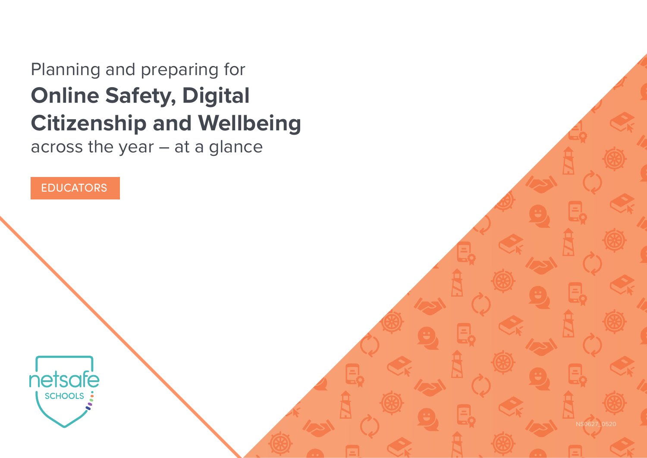# Planning and preparing for **Online Safety, Digital Citizenship and Wellbeing**

across the year – at a glance

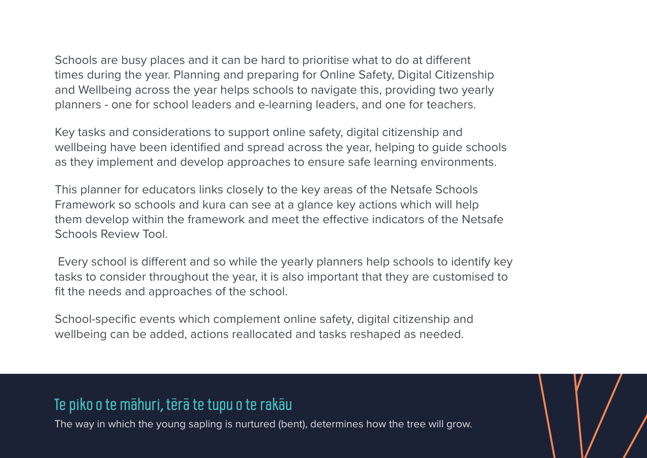Schools are busy places and it can be hard to prioritise what to do at different times during the year. Planning and preparing for Online Safety, Digital Citizenship and Wellbeing across the year helps schools to navigate this, providing two yearly planners - one for school leaders and e-learning leaders, and one for teachers.

Key tasks and considerations to support online safety, digital citizenship and wellbeing have been identified and spread across the year, helping to guide schools as they implement and develop approaches to ensure safe learning environments.

This planner for educators links closely to the key areas of the Netsafe Schools Framework so schools and kura can see at a glance key actions which will help them develop within the framework and meet the effective indicators of the Netsafe Schools Review Tool.

 Every school is different and so while the yearly planners help schools to identify key tasks to consider throughout the year, it is also important that they are customised to fit the needs and approaches of the school.

School-specific events which complement online safety, digital citizenship and wellbeing can be added, actions reallocated and tasks reshaped as needed.

#### Te piko o te māhuri, tērā te tupu o te rakāu

The way in which the young sapling is nurtured (bent), determines how the tree will grow.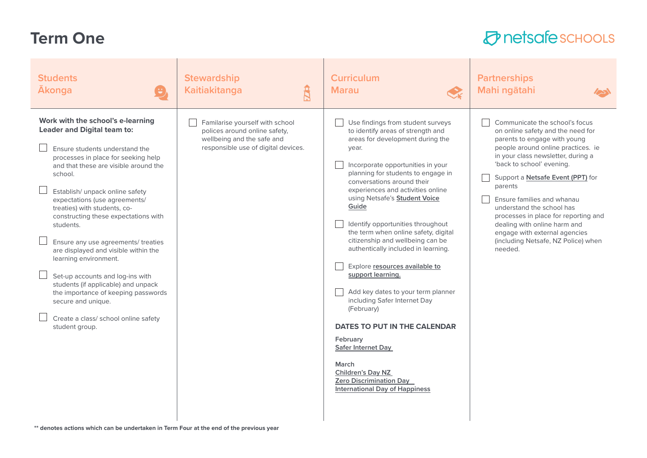#### **Term One**

| <b>Students</b><br><b>Akonga</b>                                                                                                                                                                                                                                                                                                                                                                                                                                                                                                                                                                                                                                        | <b>Stewardship</b><br>$\mathtt{B}$<br><b>Kaitiakitanga</b>                                                                            | <b>Curriculum</b><br><b>Marau</b><br>$\mathcal{Q}_{\vec{k}}$                                                                                                                                                                                                                                                                                                                                                                                                                                                                                                                                                                                                                                                                                                                                            | <b>Partnerships</b><br>Mahi ngātahi<br>$\sum$                                                                                                                                                                                                                                                                                                                                                                                                                                      |
|-------------------------------------------------------------------------------------------------------------------------------------------------------------------------------------------------------------------------------------------------------------------------------------------------------------------------------------------------------------------------------------------------------------------------------------------------------------------------------------------------------------------------------------------------------------------------------------------------------------------------------------------------------------------------|---------------------------------------------------------------------------------------------------------------------------------------|---------------------------------------------------------------------------------------------------------------------------------------------------------------------------------------------------------------------------------------------------------------------------------------------------------------------------------------------------------------------------------------------------------------------------------------------------------------------------------------------------------------------------------------------------------------------------------------------------------------------------------------------------------------------------------------------------------------------------------------------------------------------------------------------------------|------------------------------------------------------------------------------------------------------------------------------------------------------------------------------------------------------------------------------------------------------------------------------------------------------------------------------------------------------------------------------------------------------------------------------------------------------------------------------------|
| Work with the school's e-learning<br><b>Leader and Digital team to:</b><br>Ensure students understand the<br>processes in place for seeking help<br>and that these are visible around the<br>school.<br>Establish/ unpack online safety<br>expectations (use agreements/<br>treaties) with students, co-<br>constructing these expectations with<br>students.<br>Ensure any use agreements/ treaties<br>are displayed and visible within the<br>learning environment.<br>Set-up accounts and log-ins with<br>students (if applicable) and unpack<br>the importance of keeping passwords<br>secure and unique.<br>Create a class/ school online safety<br>student group. | Familarise yourself with school<br>polices around online safety,<br>wellbeing and the safe and<br>responsible use of digital devices. | Use findings from student surveys<br>to identify areas of strength and<br>areas for development during the<br>year.<br>Incorporate opportunities in your<br>planning for students to engage in<br>conversations around their<br>experiences and activities online<br>using Netsafe's <b>Student Voice</b><br>Guide<br>Identify opportunities throughout<br>the term when online safety, digital<br>citizenship and wellbeing can be<br>authentically included in learning.<br>Explore resources available to<br>support learning.<br>Add key dates to your term planner<br>including Safer Internet Day<br>(February)<br><b>DATES TO PUT IN THE CALENDAR</b><br>February<br>Safer Internet Day<br>March<br>Children's Day NZ<br><b>Zero Discrimination Day</b><br><b>International Day of Happiness</b> | Communicate the school's focus<br>on online safety and the need for<br>parents to engage with young<br>people around online practices. ie<br>in your class newsletter, during a<br>'back to school' evening.<br>Support a Netsafe Event (PPT) for<br>parents<br>Ensure families and whanau<br>understand the school has<br>processes in place for reporting and<br>dealing with online harm and<br>engage with external agencies<br>(including Netsafe, NZ Police) when<br>needed. |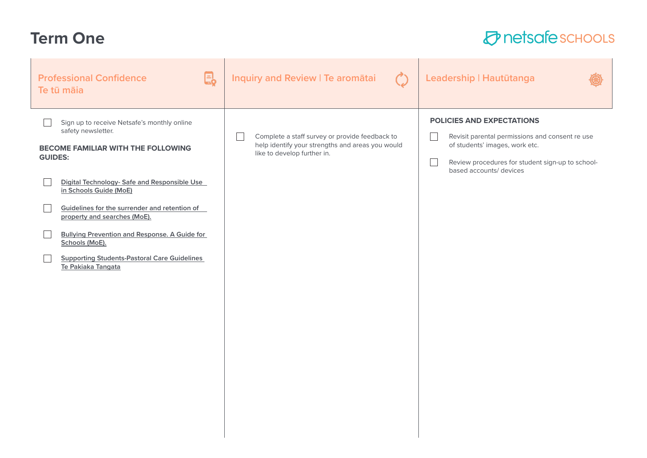## **Term One**

| e.<br><b>Professional Confidence</b><br>Te tū māia                                                                                                                                                                                                                                                                                                                                                                                                 | Inquiry and Review   Te aromātai                                                                                                  | Leadership   Hautūtanga                                                                                                                                                                       |
|----------------------------------------------------------------------------------------------------------------------------------------------------------------------------------------------------------------------------------------------------------------------------------------------------------------------------------------------------------------------------------------------------------------------------------------------------|-----------------------------------------------------------------------------------------------------------------------------------|-----------------------------------------------------------------------------------------------------------------------------------------------------------------------------------------------|
| Sign up to receive Netsafe's monthly online<br>safety newsletter.<br><b>BECOME FAMILIAR WITH THE FOLLOWING</b><br><b>GUIDES:</b><br>Digital Technology- Safe and Responsible Use<br>in Schools Guide (MoE)<br>Guidelines for the surrender and retention of<br>property and searches (MoE).<br><b>Bullying Prevention and Response. A Guide for</b><br>Schools (MoE).<br><b>Supporting Students-Pastoral Care Guidelines</b><br>Te Pakiaka Tangata | Complete a staff survey or provide feedback to<br>help identify your strengths and areas you would<br>like to develop further in. | POLICIES AND EXPECTATIONS<br>Revisit parental permissions and consent re use<br>of students' images, work etc.<br>Review procedures for student sign-up to school-<br>based accounts/ devices |
|                                                                                                                                                                                                                                                                                                                                                                                                                                                    |                                                                                                                                   |                                                                                                                                                                                               |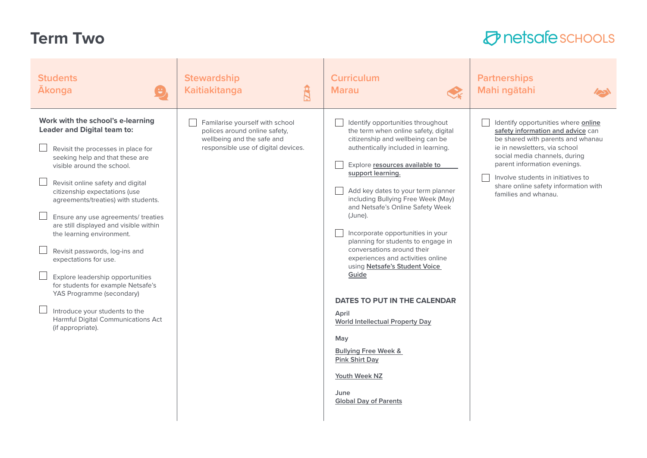## **Term Two**

| <b>Students</b><br><b>Ākonga</b><br>e                                                                                                                                                                                                                                                                                                                                                                                                                                                                                                                                                                                                                                    | <b>Stewardship</b><br>$\mathbf{\hat{B}}$<br><b>Kaitiakitanga</b>                                                                      | <b>Curriculum</b><br><b>Marau</b><br>$\mathcal{Q}_k$                                                                                                                                                                                                                                                                                                                                                                                                                                                                                                                                                                                                                                                                                          | <b>Partnerships</b><br>Mahi ngātahi                                                                                                                                                                                                                                                                                   |
|--------------------------------------------------------------------------------------------------------------------------------------------------------------------------------------------------------------------------------------------------------------------------------------------------------------------------------------------------------------------------------------------------------------------------------------------------------------------------------------------------------------------------------------------------------------------------------------------------------------------------------------------------------------------------|---------------------------------------------------------------------------------------------------------------------------------------|-----------------------------------------------------------------------------------------------------------------------------------------------------------------------------------------------------------------------------------------------------------------------------------------------------------------------------------------------------------------------------------------------------------------------------------------------------------------------------------------------------------------------------------------------------------------------------------------------------------------------------------------------------------------------------------------------------------------------------------------------|-----------------------------------------------------------------------------------------------------------------------------------------------------------------------------------------------------------------------------------------------------------------------------------------------------------------------|
| Work with the school's e-learning<br><b>Leader and Digital team to:</b><br>Revisit the processes in place for<br>seeking help and that these are<br>visible around the school.<br>Revisit online safety and digital<br>citizenship expectations (use<br>agreements/treaties) with students.<br>Ensure any use agreements/ treaties<br>are still displayed and visible within<br>the learning environment.<br>Revisit passwords, log-ins and<br>expectations for use.<br>Explore leadership opportunities<br>for students for example Netsafe's<br>YAS Programme (secondary)<br>Introduce your students to the<br>Harmful Digital Communications Act<br>(if appropriate). | Familarise yourself with school<br>polices around online safety,<br>wellbeing and the safe and<br>responsible use of digital devices. | Identify opportunities throughout<br>the term when online safety, digital<br>citizenship and wellbeing can be<br>authentically included in learning.<br>Explore resources available to<br>support learning.<br>Add key dates to your term planner<br>including Bullying Free Week (May)<br>and Netsafe's Online Safety Week<br>(June).<br>Incorporate opportunities in your<br>planning for students to engage in<br>conversations around their<br>experiences and activities online<br>using Netsafe's Student Voice<br>Guide<br>DATES TO PUT IN THE CALENDAR<br>April<br><b>World Intellectual Property Day</b><br>May<br><b>Bullying Free Week &amp;</b><br><b>Pink Shirt Day</b><br>Youth Week NZ<br>June<br><b>Global Day of Parents</b> | Identify opportunities where online<br>safety information and advice can<br>be shared with parents and whanau<br>ie in newsletters, via school<br>social media channels, during<br>parent information evenings.<br>Involve students in initiatives to<br>share online safety information with<br>families and whanau. |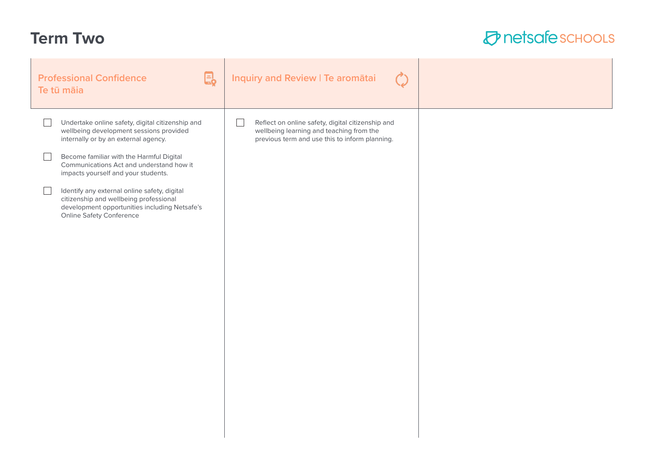## **Term Two**

| 恳<br><b>Professional Confidence</b><br>Te tū māia                                                                                                                                                                                                                                                                                                                                                                                                | Inquiry and Review   Te aromātai                                                                                                                |  |
|--------------------------------------------------------------------------------------------------------------------------------------------------------------------------------------------------------------------------------------------------------------------------------------------------------------------------------------------------------------------------------------------------------------------------------------------------|-------------------------------------------------------------------------------------------------------------------------------------------------|--|
| Undertake online safety, digital citizenship and<br>wellbeing development sessions provided<br>internally or by an external agency.<br>Become familiar with the Harmful Digital<br>Communications Act and understand how it<br>impacts yourself and your students.<br>Identify any external online safety, digital<br>citizenship and wellbeing professional<br>development opportunities including Netsafe's<br><b>Online Safety Conference</b> | Reflect on online safety, digital citizenship and<br>wellbeing learning and teaching from the<br>previous term and use this to inform planning. |  |
|                                                                                                                                                                                                                                                                                                                                                                                                                                                  |                                                                                                                                                 |  |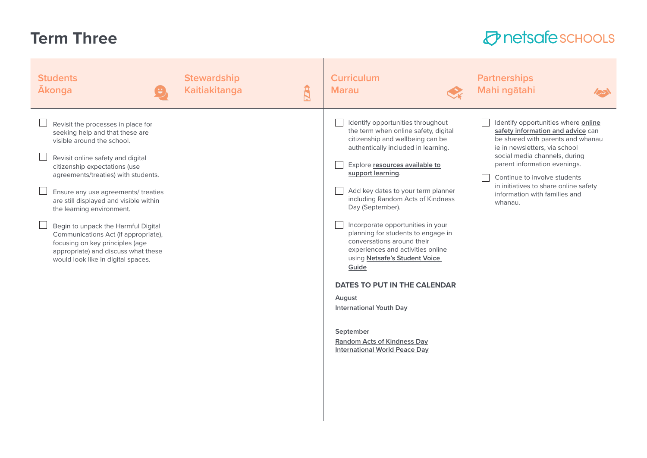## **Term Three**

| <b>Students</b><br><b>Ākonga</b><br>$\left(\frac{1}{2}\right)$                                                                                                                                                                                                                                                                                                                                                                                                                                                                | <b>Stewardship</b><br>$\mathbf{\hat{H}}$<br>Kaitiakitanga | <b>Curriculum</b><br><b>Marau</b><br>$\textcolor{red}{\bigotimes_{\mathsf{k}}}$                                                                                                                                                                                                                                                                                                                                                                                                                                                                                                                                                                                           | <b>Partnerships</b><br>Mahi ngātahi                                                                                                                                                                                                                                                                                                  |
|-------------------------------------------------------------------------------------------------------------------------------------------------------------------------------------------------------------------------------------------------------------------------------------------------------------------------------------------------------------------------------------------------------------------------------------------------------------------------------------------------------------------------------|-----------------------------------------------------------|---------------------------------------------------------------------------------------------------------------------------------------------------------------------------------------------------------------------------------------------------------------------------------------------------------------------------------------------------------------------------------------------------------------------------------------------------------------------------------------------------------------------------------------------------------------------------------------------------------------------------------------------------------------------------|--------------------------------------------------------------------------------------------------------------------------------------------------------------------------------------------------------------------------------------------------------------------------------------------------------------------------------------|
| Revisit the processes in place for<br>seeking help and that these are<br>visible around the school.<br>Revisit online safety and digital<br>citizenship expectations (use<br>agreements/treaties) with students.<br>Ensure any use agreements/ treaties<br>are still displayed and visible within<br>the learning environment.<br>Begin to unpack the Harmful Digital<br>Communications Act (if appropriate),<br>focusing on key principles (age<br>appropriate) and discuss what these<br>would look like in digital spaces. |                                                           | Identify opportunities throughout<br>the term when online safety, digital<br>citizenship and wellbeing can be<br>authentically included in learning.<br>Explore resources available to<br>support learning.<br>Add key dates to your term planner<br>including Random Acts of Kindness<br>Day (September).<br>Incorporate opportunities in your<br>planning for students to engage in<br>conversations around their<br>experiences and activities online<br>using Netsafe's Student Voice<br>Guide<br>DATES TO PUT IN THE CALENDAR<br>August<br><b>International Youth Day</b><br>September<br><b>Random Acts of Kindness Day</b><br><b>International World Peace Day</b> | Identify opportunities where online<br>safety information and advice can<br>be shared with parents and whanau<br>ie in newsletters, via school<br>social media channels, during<br>parent information evenings.<br>Continue to involve students<br>in initiatives to share online safety<br>information with families and<br>whanau. |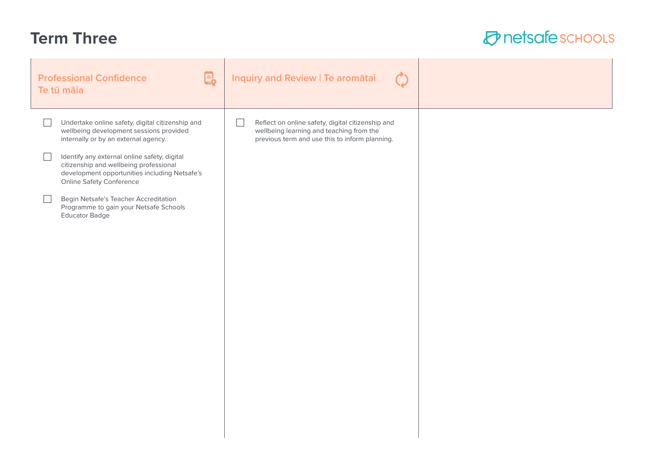#### **Term Three**

| $\mathbf{\Xi}_{\!\mathbf{2}}$<br><b>Professional Confidence</b><br>Te tū māia                                                                                                                                                                                                                                                                                                                                                 | Inquiry and Review   Te aromātai                                                                                                                |  |
|-------------------------------------------------------------------------------------------------------------------------------------------------------------------------------------------------------------------------------------------------------------------------------------------------------------------------------------------------------------------------------------------------------------------------------|-------------------------------------------------------------------------------------------------------------------------------------------------|--|
| Undertake online safety, digital citizenship and<br>wellbeing development sessions provided<br>internally or by an external agency.<br>Identify any external online safety, digital<br>citizenship and wellbeing professional<br>development opportunities including Netsafe's<br><b>Online Safety Conference</b><br>Begin Netsafe's Teacher Accreditation<br>Programme to gain your Netsafe Schools<br><b>Educator Badge</b> | Reflect on online safety, digital citizenship and<br>wellbeing learning and teaching from the<br>previous term and use this to inform planning. |  |
|                                                                                                                                                                                                                                                                                                                                                                                                                               |                                                                                                                                                 |  |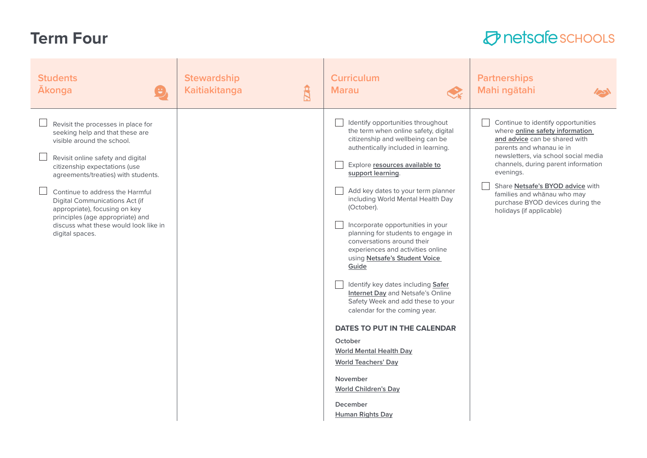## **Term Four**

| <b>Students</b><br><b>Akonga</b><br>$\left( \begin{matrix} \mathbf{H} \ \mathbf{H} \ \mathbf{H} \end{matrix} \right)$                                                                                                                                                                                                                                                                                                  | <b>Stewardship</b><br>$\mathbf{\hat{H}}$<br><b>Kaitiakitanga</b> | <b>Curriculum</b><br><b>Marau</b><br>$\mathcal{Q}_k$                                                                                                                                                                                                                                                                                                                                                                                                                                                                                                                                                                                                                                                                                                                                                                                              | <b>Partnerships</b><br>Mahi ngātahi                                                                                                                                                                                                                                                                                                                               |
|------------------------------------------------------------------------------------------------------------------------------------------------------------------------------------------------------------------------------------------------------------------------------------------------------------------------------------------------------------------------------------------------------------------------|------------------------------------------------------------------|---------------------------------------------------------------------------------------------------------------------------------------------------------------------------------------------------------------------------------------------------------------------------------------------------------------------------------------------------------------------------------------------------------------------------------------------------------------------------------------------------------------------------------------------------------------------------------------------------------------------------------------------------------------------------------------------------------------------------------------------------------------------------------------------------------------------------------------------------|-------------------------------------------------------------------------------------------------------------------------------------------------------------------------------------------------------------------------------------------------------------------------------------------------------------------------------------------------------------------|
| Revisit the processes in place for<br>seeking help and that these are<br>visible around the school.<br>Revisit online safety and digital<br>citizenship expectations (use<br>agreements/treaties) with students.<br>Continue to address the Harmful<br>Digital Communications Act (if<br>appropriate), focusing on key<br>principles (age appropriate) and<br>discuss what these would look like in<br>digital spaces. |                                                                  | Identify opportunities throughout<br>the term when online safety, digital<br>citizenship and wellbeing can be<br>authentically included in learning.<br>Explore resources available to<br>support learning.<br>Add key dates to your term planner<br>including World Mental Health Day<br>(October).<br>Incorporate opportunities in your<br>planning for students to engage in<br>conversations around their<br>experiences and activities online<br>using Netsafe's Student Voice<br>Guide<br>Identify key dates including Safer<br>Internet Day and Netsafe's Online<br>Safety Week and add these to your<br>calendar for the coming year.<br><b>DATES TO PUT IN THE CALENDAR</b><br>October<br><b>World Mental Health Day</b><br><b>World Teachers' Day</b><br>November<br><b>World Children's Day</b><br>December<br><b>Human Rights Day</b> | Continue to identify opportunities<br>where online safety information<br>and advice can be shared with<br>parents and whanau ie in<br>newsletters, via school social media<br>channels, during parent information<br>evenings.<br>Share Netsafe's BYOD advice with<br>families and whanau who may<br>purchase BYOD devices during the<br>holidays (if applicable) |